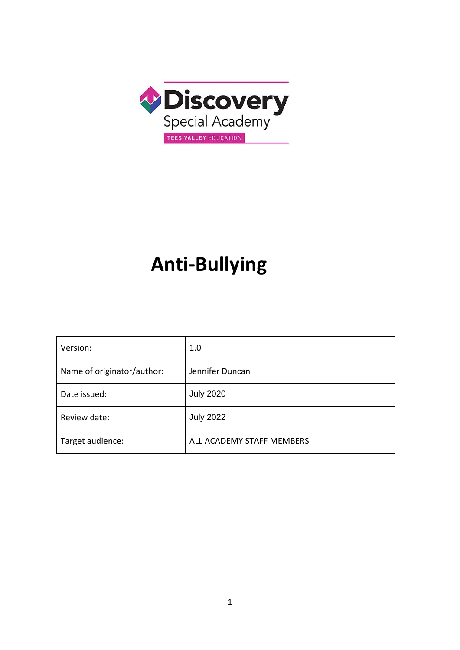

# **Anti-Bullying**

| Version:                   | 1.0                       |
|----------------------------|---------------------------|
| Name of originator/author: | Jennifer Duncan           |
| Date issued:               | <b>July 2020</b>          |
| Review date:               | <b>July 2022</b>          |
| Target audience:           | ALL ACADEMY STAFF MEMBERS |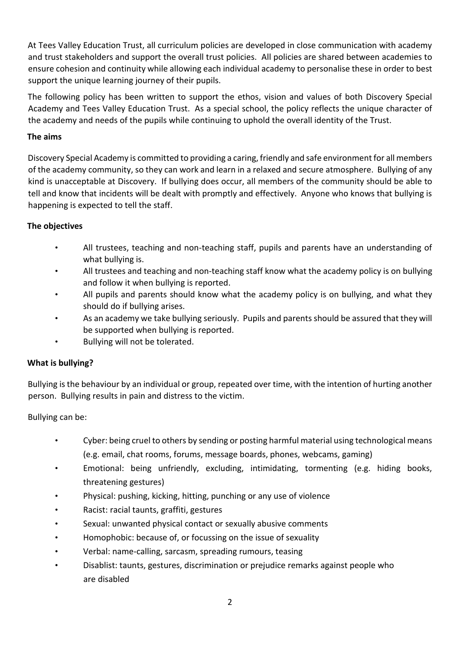At Tees Valley Education Trust, all curriculum policies are developed in close communication with academy and trust stakeholders and support the overall trust policies. All policies are shared between academies to ensure cohesion and continuity while allowing each individual academy to personalise these in order to best support the unique learning journey of their pupils.

The following policy has been written to support the ethos, vision and values of both Discovery Special Academy and Tees Valley Education Trust. As a special school, the policy reflects the unique character of the academy and needs of the pupils while continuing to uphold the overall identity of the Trust.

# **The aims**

Discovery Special Academy is committed to providing a caring, friendly and safe environment for all members of the academy community, so they can work and learn in a relaxed and secure atmosphere. Bullying of any kind is unacceptable at Discovery. If bullying does occur, all members of the community should be able to tell and know that incidents will be dealt with promptly and effectively. Anyone who knows that bullying is happening is expected to tell the staff.

# **The objectives**

- All trustees, teaching and non-teaching staff, pupils and parents have an understanding of what bullying is.
- All trustees and teaching and non-teaching staff know what the academy policy is on bullying and follow it when bullying is reported.
- All pupils and parents should know what the academy policy is on bullying, and what they should do if bullying arises.
- As an academy we take bullying seriously. Pupils and parents should be assured that they will be supported when bullying is reported.
- Bullying will not be tolerated.

#### **What is bullying?**

Bullying is the behaviour by an individual or group, repeated over time, with the intention of hurting another person. Bullying results in pain and distress to the victim.

#### Bullying can be:

- Cyber: being cruel to others by sending or posting harmful material using technological means (e.g. email, chat rooms, forums, message boards, phones, webcams, gaming)
- Emotional: being unfriendly, excluding, intimidating, tormenting (e.g. hiding books, threatening gestures)
- Physical: pushing, kicking, hitting, punching or any use of violence
- Racist: racial taunts, graffiti, gestures
- Sexual: unwanted physical contact or sexually abusive comments
- Homophobic: because of, or focussing on the issue of sexuality
- Verbal: name-calling, sarcasm, spreading rumours, teasing
- Disablist: taunts, gestures, discrimination or prejudice remarks against people who are disabled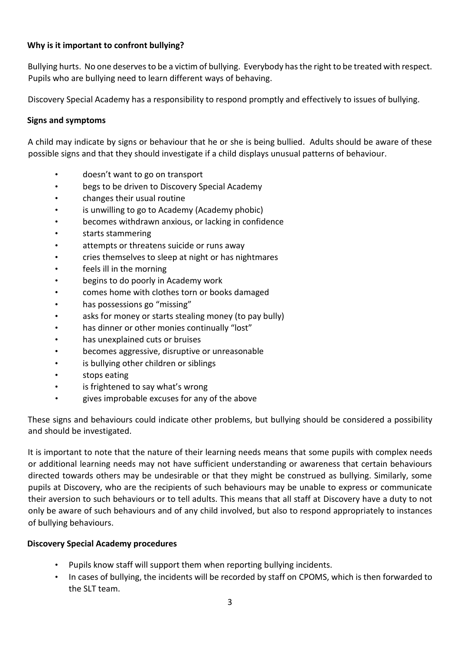# **Why is it important to confront bullying?**

Bullying hurts. No one deserves to be a victim of bullying. Everybody has the right to be treated with respect. Pupils who are bullying need to learn different ways of behaving.

Discovery Special Academy has a responsibility to respond promptly and effectively to issues of bullying.

#### **Signs and symptoms**

A child may indicate by signs or behaviour that he or she is being bullied. Adults should be aware of these possible signs and that they should investigate if a child displays unusual patterns of behaviour.

- doesn't want to go on transport
- begs to be driven to Discovery Special Academy
- changes their usual routine
- is unwilling to go to Academy (Academy phobic)
- becomes withdrawn anxious, or lacking in confidence
- starts stammering
- attempts or threatens suicide or runs away
- cries themselves to sleep at night or has nightmares
- feels ill in the morning
- begins to do poorly in Academy work
- comes home with clothes torn or books damaged
- has possessions go "missing"
- asks for money or starts stealing money (to pay bully)
- has dinner or other monies continually "lost"
- has unexplained cuts or bruises
- becomes aggressive, disruptive or unreasonable
- is bullying other children or siblings
- stops eating
- is frightened to say what's wrong
- gives improbable excuses for any of the above

These signs and behaviours could indicate other problems, but bullying should be considered a possibility and should be investigated.

It is important to note that the nature of their learning needs means that some pupils with complex needs or additional learning needs may not have sufficient understanding or awareness that certain behaviours directed towards others may be undesirable or that they might be construed as bullying. Similarly, some pupils at Discovery, who are the recipients of such behaviours may be unable to express or communicate their aversion to such behaviours or to tell adults. This means that all staff at Discovery have a duty to not only be aware of such behaviours and of any child involved, but also to respond appropriately to instances of bullying behaviours.

#### **Discovery Special Academy procedures**

- Pupils know staff will support them when reporting bullying incidents.
- In cases of bullying, the incidents will be recorded by staff on CPOMS, which is then forwarded to the SLT team.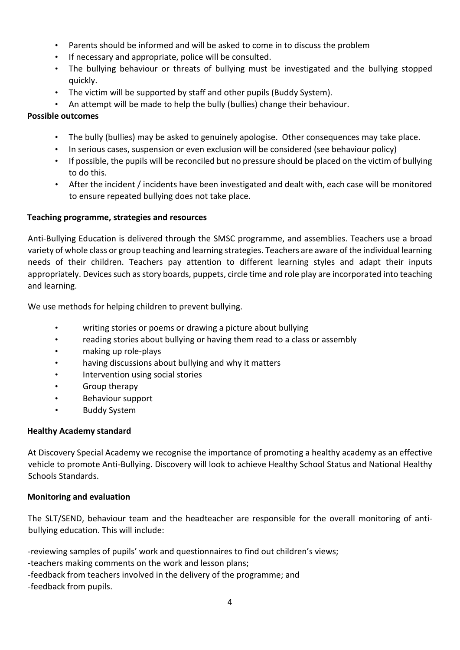- Parents should be informed and will be asked to come in to discuss the problem
- If necessary and appropriate, police will be consulted.
- The bullying behaviour or threats of bullying must be investigated and the bullying stopped quickly.
- The victim will be supported by staff and other pupils (Buddy System).
- An attempt will be made to help the bully (bullies) change their behaviour.

# **Possible outcomes**

- The bully (bullies) may be asked to genuinely apologise. Other consequences may take place.
- In serious cases, suspension or even exclusion will be considered (see behaviour policy)
- If possible, the pupils will be reconciled but no pressure should be placed on the victim of bullying to do this.
- After the incident / incidents have been investigated and dealt with, each case will be monitored to ensure repeated bullying does not take place.

# **Teaching programme, strategies and resources**

Anti-Bullying Education is delivered through the SMSC programme, and assemblies. Teachers use a broad variety of whole class or group teaching and learning strategies. Teachers are aware of the individual learning needs of their children. Teachers pay attention to different learning styles and adapt their inputs appropriately. Devices such as story boards, puppets, circle time and role play are incorporated into teaching and learning.

We use methods for helping children to prevent bullying.

- writing stories or poems or drawing a picture about bullying
- reading stories about bullying or having them read to a class or assembly
- making up role-plays
- having discussions about bullying and why it matters
- Intervention using social stories
- Group therapy
- Behaviour support
- Buddy System

# **Healthy Academy standard**

At Discovery Special Academy we recognise the importance of promoting a healthy academy as an effective vehicle to promote Anti-Bullying. Discovery will look to achieve Healthy School Status and National Healthy Schools Standards.

# **Monitoring and evaluation**

The SLT/SEND, behaviour team and the headteacher are responsible for the overall monitoring of antibullying education. This will include:

-reviewing samples of pupils' work and questionnaires to find out children's views; -teachers making comments on the work and lesson plans;

-feedback from teachers involved in the delivery of the programme; and

-feedback from pupils.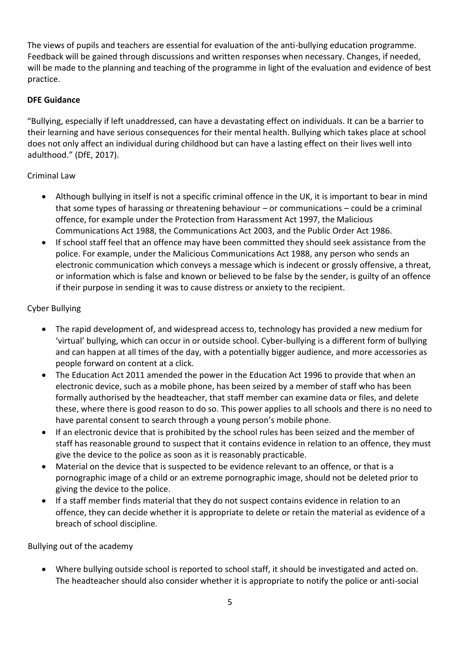The views of pupils and teachers are essential for evaluation of the anti-bullying education programme. Feedback will be gained through discussions and written responses when necessary. Changes, if needed, will be made to the planning and teaching of the programme in light of the evaluation and evidence of best practice.

#### **DFE Guidance**

"Bullying, especially if left unaddressed, can have a devastating effect on individuals. It can be a barrier to their learning and have serious consequences for their mental health. Bullying which takes place at school does not only affect an individual during childhood but can have a lasting effect on their lives well into adulthood." (DfE, 2017).

#### Criminal Law

- Although bullying in itself is not a specific criminal offence in the UK, it is important to bear in mind that some types of harassing or threatening behaviour – or communications – could be a criminal offence, for example under the Protection from Harassment Act 1997, the Malicious Communications Act 1988, the Communications Act 2003, and the Public Order Act 1986.
- If school staff feel that an offence may have been committed they should seek assistance from the police. For example, under the Malicious Communications Act 1988, any person who sends an electronic communication which conveys a message which is indecent or grossly offensive, a threat, or information which is false and known or believed to be false by the sender, is guilty of an offence if their purpose in sending it was to cause distress or anxiety to the recipient.

# Cyber Bullying

- The rapid development of, and widespread access to, technology has provided a new medium for 'virtual' bullying, which can occur in or outside school. Cyber-bullying is a different form of bullying and can happen at all times of the day, with a potentially bigger audience, and more accessories as people forward on content at a click.
- The Education Act 2011 amended the power in the Education Act 1996 to provide that when an electronic device, such as a mobile phone, has been seized by a member of staff who has been formally authorised by the headteacher, that staff member can examine data or files, and delete these, where there is good reason to do so. This power applies to all schools and there is no need to have parental consent to search through a young person's mobile phone.
- If an electronic device that is prohibited by the school rules has been seized and the member of staff has reasonable ground to suspect that it contains evidence in relation to an offence, they must give the device to the police as soon as it is reasonably practicable.
- Material on the device that is suspected to be evidence relevant to an offence, or that is a pornographic image of a child or an extreme pornographic image, should not be deleted prior to giving the device to the police.
- If a staff member finds material that they do not suspect contains evidence in relation to an offence, they can decide whether it is appropriate to delete or retain the material as evidence of a breach of school discipline.

Bullying out of the academy

• Where bullying outside school is reported to school staff, it should be investigated and acted on. The headteacher should also consider whether it is appropriate to notify the police or anti-social